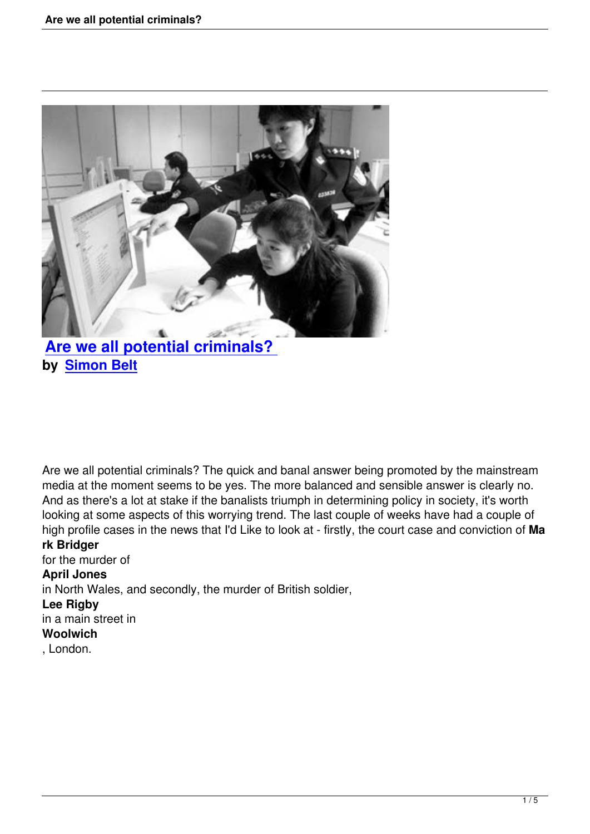

# **Are we all potential criminals? by Simon Belt**

Are we all potential criminals? The quick and banal answer being promoted by the mainstream media at the moment seems to be yes. The more balanced and sensible answer is clearly no. And as there's a lot at stake if the banalists triumph in determining policy in society, it's worth looking at some aspects of this worrying trend. The last couple of weeks have had a couple of high profile cases in the news that I'd Like to look at - firstly, the court case and conviction of **Ma**

## **rk Bridger**

for the murder of **April Jones** in North Wales, and secondly, the murder of British soldier, **Lee Rigby** in a main street in **Woolwich**

, London.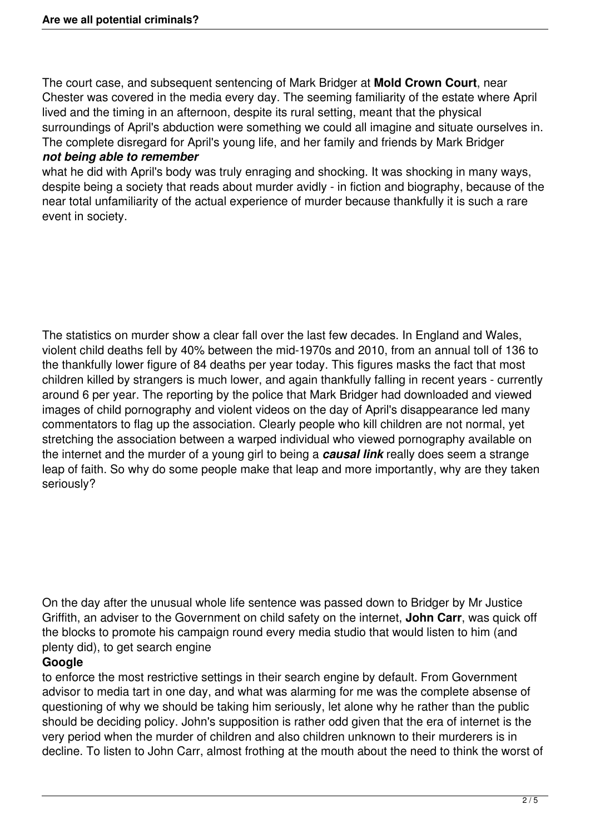The court case, and subsequent sentencing of Mark Bridger at **Mold Crown Court**, near Chester was covered in the media every day. The seeming familiarity of the estate where April lived and the timing in an afternoon, despite its rural setting, meant that the physical surroundings of April's abduction were something we could all imagine and situate ourselves in. The complete disregard for April's young life, and her family and friends by Mark Bridger

### *not being able to remember*

what he did with April's body was truly enraging and shocking. It was shocking in many ways, despite being a society that reads about murder avidly - in fiction and biography, because of the near total unfamiliarity of the actual experience of murder because thankfully it is such a rare event in society.

The statistics on murder show a clear fall over the last few decades. In England and Wales, violent child deaths fell by 40% between the mid-1970s and 2010, from an annual toll of 136 to the thankfully lower figure of 84 deaths per year today. This figures masks the fact that most children killed by strangers is much lower, and again thankfully falling in recent years - currently around 6 per year. The reporting by the police that Mark Bridger had downloaded and viewed images of child pornography and violent videos on the day of April's disappearance led many commentators to flag up the association. Clearly people who kill children are not normal, yet stretching the association between a warped individual who viewed pornography available on the internet and the murder of a young girl to being a *causal link* really does seem a strange leap of faith. So why do some people make that leap and more importantly, why are they taken seriously?

On the day after the unusual whole life sentence was passed down to Bridger by Mr Justice Griffith, an adviser to the Government on child safety on the internet, **John Carr**, was quick off the blocks to promote his campaign round every media studio that would listen to him (and plenty did), to get search engine

# **Google**

to enforce the most restrictive settings in their search engine by default. From Government advisor to media tart in one day, and what was alarming for me was the complete absense of questioning of why we should be taking him seriously, let alone why he rather than the public should be deciding policy. John's supposition is rather odd given that the era of internet is the very period when the murder of children and also children unknown to their murderers is in decline. To listen to John Carr, almost frothing at the mouth about the need to think the worst of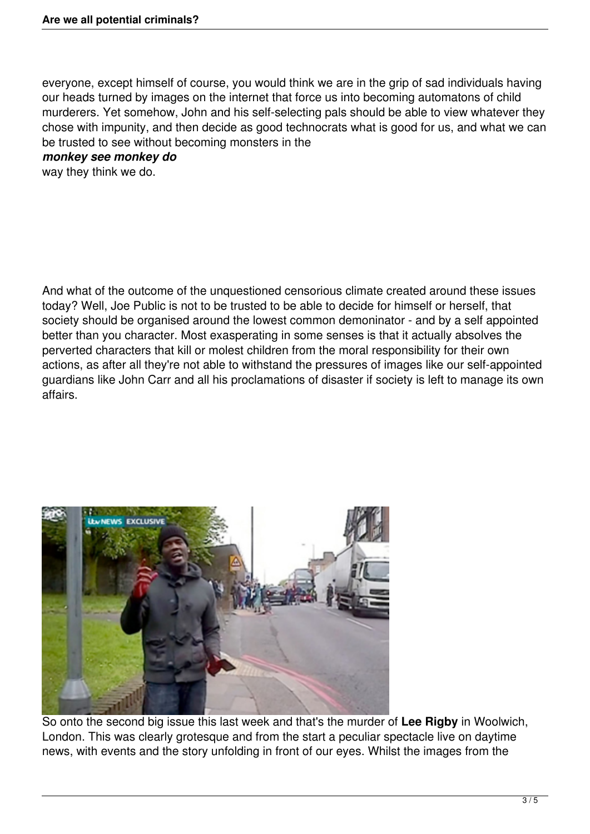everyone, except himself of course, you would think we are in the grip of sad individuals having our heads turned by images on the internet that force us into becoming automatons of child murderers. Yet somehow, John and his self-selecting pals should be able to view whatever they chose with impunity, and then decide as good technocrats what is good for us, and what we can be trusted to see without becoming monsters in the

### *monkey see monkey do*

way they think we do.

And what of the outcome of the unquestioned censorious climate created around these issues today? Well, Joe Public is not to be trusted to be able to decide for himself or herself, that society should be organised around the lowest common demoninator - and by a self appointed better than you character. Most exasperating in some senses is that it actually absolves the perverted characters that kill or molest children from the moral responsibility for their own actions, as after all they're not able to withstand the pressures of images like our self-appointed guardians like John Carr and all his proclamations of disaster if society is left to manage its own affairs.



So onto the second big issue this last week and that's the murder of **Lee Rigby** in Woolwich, London. This was clearly grotesque and from the start a peculiar spectacle live on daytime news, with events and the story unfolding in front of our eyes. Whilst the images from the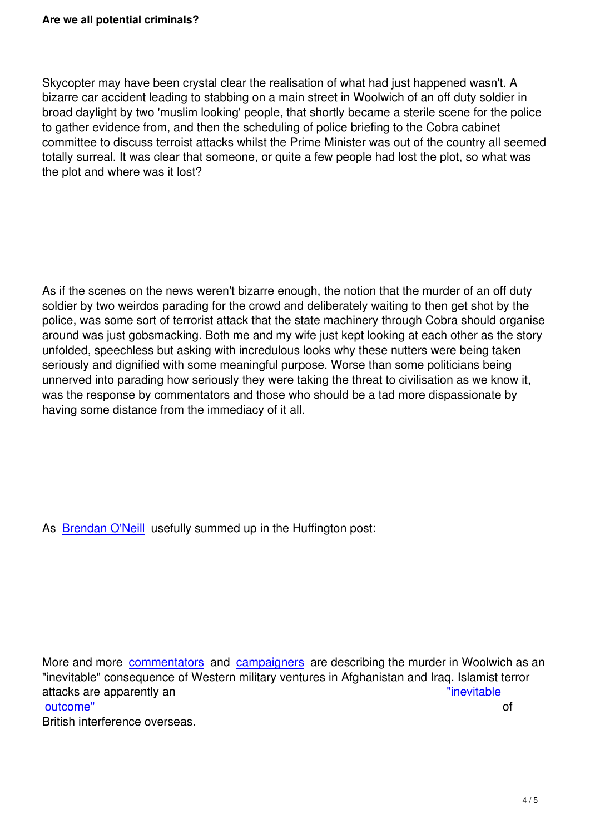Skycopter may have been crystal clear the realisation of what had just happened wasn't. A bizarre car accident leading to stabbing on a main street in Woolwich of an off duty soldier in broad daylight by two 'muslim looking' people, that shortly became a sterile scene for the police to gather evidence from, and then the scheduling of police briefing to the Cobra cabinet committee to discuss terroist attacks whilst the Prime Minister was out of the country all seemed totally surreal. It was clear that someone, or quite a few people had lost the plot, so what was the plot and where was it lost?

As if the scenes on the news weren't bizarre enough, the notion that the murder of an off duty soldier by two weirdos parading for the crowd and deliberately waiting to then get shot by the police, was some sort of terrorist attack that the state machinery through Cobra should organise around was just gobsmacking. Both me and my wife just kept looking at each other as the story unfolded, speechless but asking with incredulous looks why these nutters were being taken seriously and dignified with some meaningful purpose. Worse than some politicians being unnerved into parading how seriously they were taking the threat to civilisation as we know it, was the response by commentators and those who should be a tad more dispassionate by having some distance from the immediacy of it all.

As Brendan O'Neill usefully summed up in the Huffington post:

More and more commentators and campaigners are describing the murder in Woolwich as an "inevitable" consequence of Western military ventures in Afghanistan and Iraq. Islamist terror attacks are apparently an "inevitable outcome" and a state of the state of the state of the state of the state of the state of the state of the state of the state of the state of the state of the state of the state of the state of the state of the state of the British interference overseas.